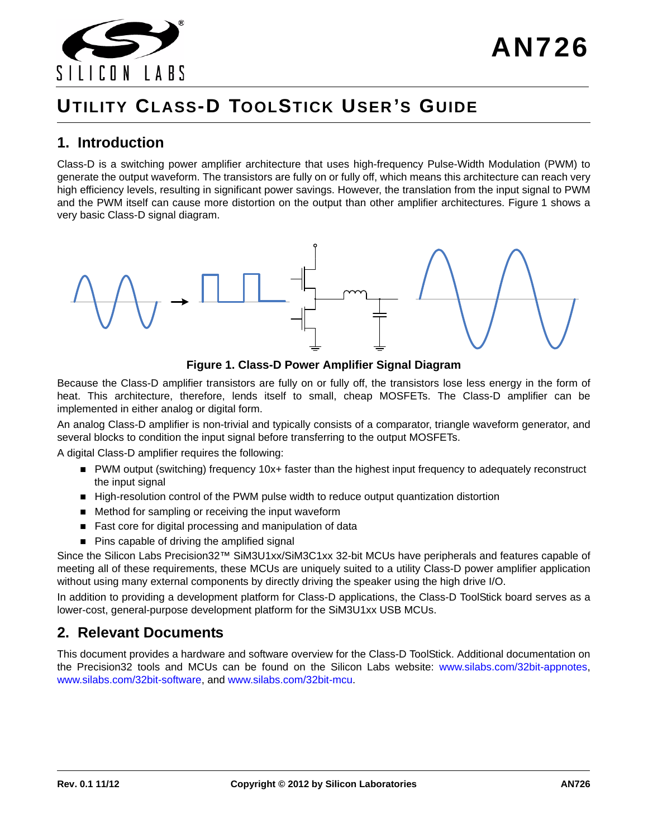

# **UTILITY CLASS-D TOOLSTICK USER 'S GUIDE**

## **1. Introduction**

Class-D is a switching power amplifier architecture that uses high-frequency Pulse-Width Modulation (PWM) to generate the output waveform. The transistors are fully on or fully off, which means this architecture can reach very high efficiency levels, resulting in significant power savings. However, the translation from the input signal to PWM and the PWM itself can cause more distortion on the output than other amplifier architectures. [Figure 1](#page-0-0) shows a very basic Class-D signal diagram.





<span id="page-0-0"></span>Because the Class-D amplifier transistors are fully on or fully off, the transistors lose less energy in the form of heat. This architecture, therefore, lends itself to small, cheap MOSFETs. The Class-D amplifier can be implemented in either analog or digital form.

An analog Class-D amplifier is non-trivial and typically consists of a comparator, triangle waveform generator, and several blocks to condition the input signal before transferring to the output MOSFETs.

A digital Class-D amplifier requires the following:

- PWM output (switching) frequency 10x+ faster than the highest input frequency to adequately reconstruct the input signal
- High-resolution control of the PWM pulse width to reduce output quantization distortion
- Method for sampling or receiving the input waveform
- Fast core for digital processing and manipulation of data
- Pins capable of driving the amplified signal

Since the Silicon Labs Precision32™ SiM3U1xx/SiM3C1xx 32-bit MCUs have peripherals and features capable of meeting all of these requirements, these MCUs are uniquely suited to a utility Class-D power amplifier application without using many external components by directly driving the speaker using the high drive I/O.

In addition to providing a development platform for Class-D applications, the Class-D ToolStick board serves as a lower-cost, general-purpose development platform for the SiM3U1xx USB MCUs.

## **2. Relevant Documents**

[This document provides a hardware and software overview for the Class-D ToolStick. Additional documentation on](www.silabs.com/32bit-appnotes) [the Precision32 tools and MCUs can be found on the Silicon Labs website:](www.silabs.com/32bit-appnotes) www.silabs.com/32bit-appnote[s,](www.silabs.com/32bit-software) www.silabs.com/32bit-softwar[e, and](www.silabs.com/32bit-mcu) www.silabs.com/32bit-mcu.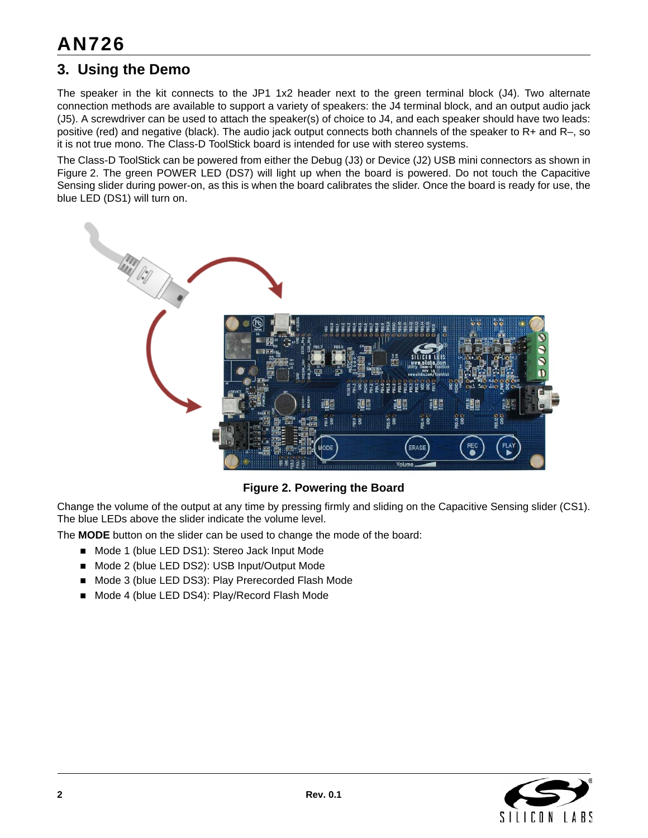## **3. Using the Demo**

The speaker in the kit connects to the JP1 1x2 header next to the green terminal block (J4). Two alternate connection methods are available to support a variety of speakers: the J4 terminal block, and an output audio jack (J5). A screwdriver can be used to attach the speaker(s) of choice to J4, and each speaker should have two leads: positive (red) and negative (black). The audio jack output connects both channels of the speaker to R+ and R–, so it is not true mono. The Class-D ToolStick board is intended for use with stereo systems.

The Class-D ToolStick can be powered from either the Debug (J3) or Device (J2) USB mini connectors as shown in [Figure 2.](#page-1-0) The green POWER LED (DS7) will light up when the board is powered. Do not touch the Capacitive Sensing slider during power-on, as this is when the board calibrates the slider. Once the board is ready for use, the blue LED (DS1) will turn on.



## **Figure 2. Powering the Board**

<span id="page-1-0"></span>Change the volume of the output at any time by pressing firmly and sliding on the Capacitive Sensing slider (CS1). The blue LEDs above the slider indicate the volume level.

The **MODE** button on the slider can be used to change the mode of the board:

- Mode 1 (blue LED DS1): Stereo Jack Input Mode
- Mode 2 (blue LED DS2): USB Input/Output Mode
- Mode 3 (blue LED DS3): Play Prerecorded Flash Mode
- Mode 4 (blue LED DS4): Play/Record Flash Mode

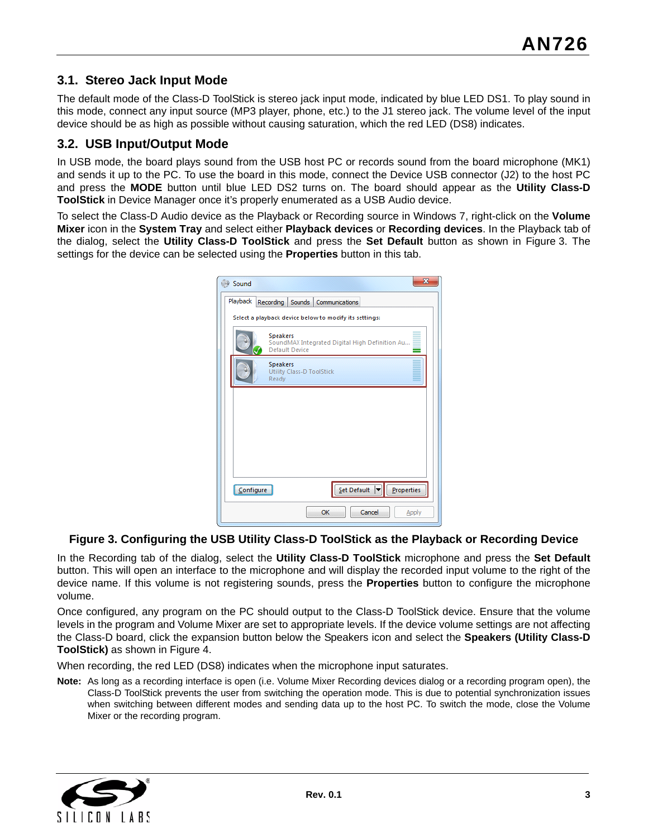## **3.1. Stereo Jack Input Mode**

The default mode of the Class-D ToolStick is stereo jack input mode, indicated by blue LED DS1. To play sound in this mode, connect any input source (MP3 player, phone, etc.) to the J1 stereo jack. The volume level of the input device should be as high as possible without causing saturation, which the red LED (DS8) indicates.

### **3.2. USB Input/Output Mode**

In USB mode, the board plays sound from the USB host PC or records sound from the board microphone (MK1) and sends it up to the PC. To use the board in this mode, connect the Device USB connector (J2) to the host PC and press the **MODE** button until blue LED DS2 turns on. The board should appear as the **Utility Class-D ToolStick** in Device Manager once it's properly enumerated as a USB Audio device.

To select the Class-D Audio device as the Playback or Recording source in Windows 7, right-click on the **Volume Mixer** icon in the **System Tray** and select either **Playback devices** or **Recording devices**. In the Playback tab of the dialog, select the **Utility Class-D ToolStick** and press the **Set Default** button as shown in [Figure 3.](#page-2-0) The settings for the device can be selected using the **Properties** button in this tab.

| $\overline{\mathbf{x}}$<br>Sound                                                           |  |  |  |  |  |  |  |
|--------------------------------------------------------------------------------------------|--|--|--|--|--|--|--|
| Playback<br>Recording<br>Sounds Communications                                             |  |  |  |  |  |  |  |
| Select a playback device below to modify its settings:                                     |  |  |  |  |  |  |  |
| <b>Speakers</b><br>SoundMAX Integrated Digital High Definition Au<br><b>Default Device</b> |  |  |  |  |  |  |  |
| <b>Speakers</b><br><b>Utility Class-D ToolStick</b><br>Ready                               |  |  |  |  |  |  |  |
|                                                                                            |  |  |  |  |  |  |  |
|                                                                                            |  |  |  |  |  |  |  |
|                                                                                            |  |  |  |  |  |  |  |
|                                                                                            |  |  |  |  |  |  |  |
| $Set$ Default $\blacktriangledown$<br>Properties<br><u>Configure</u>                       |  |  |  |  |  |  |  |
| Cancel<br>OK<br>Apply                                                                      |  |  |  |  |  |  |  |

#### <span id="page-2-0"></span>**Figure 3. Configuring the USB Utility Class-D ToolStick as the Playback or Recording Device**

In the Recording tab of the dialog, select the **Utility Class-D ToolStick** microphone and press the **Set Default** button. This will open an interface to the microphone and will display the recorded input volume to the right of the device name. If this volume is not registering sounds, press the **Properties** button to configure the microphone volume.

Once configured, any program on the PC should output to the Class-D ToolStick device. Ensure that the volume levels in the program and Volume Mixer are set to appropriate levels. If the device volume settings are not affecting the Class-D board, click the expansion button below the Speakers icon and select the **Speakers (Utility Class-D ToolStick)** as shown in [Figure 4](#page-3-0).

When recording, the red LED (DS8) indicates when the microphone input saturates.

**Note:** As long as a recording interface is open (i.e. Volume Mixer Recording devices dialog or a recording program open), the Class-D ToolStick prevents the user from switching the operation mode. This is due to potential synchronization issues when switching between different modes and sending data up to the host PC. To switch the mode, close the Volume Mixer or the recording program.

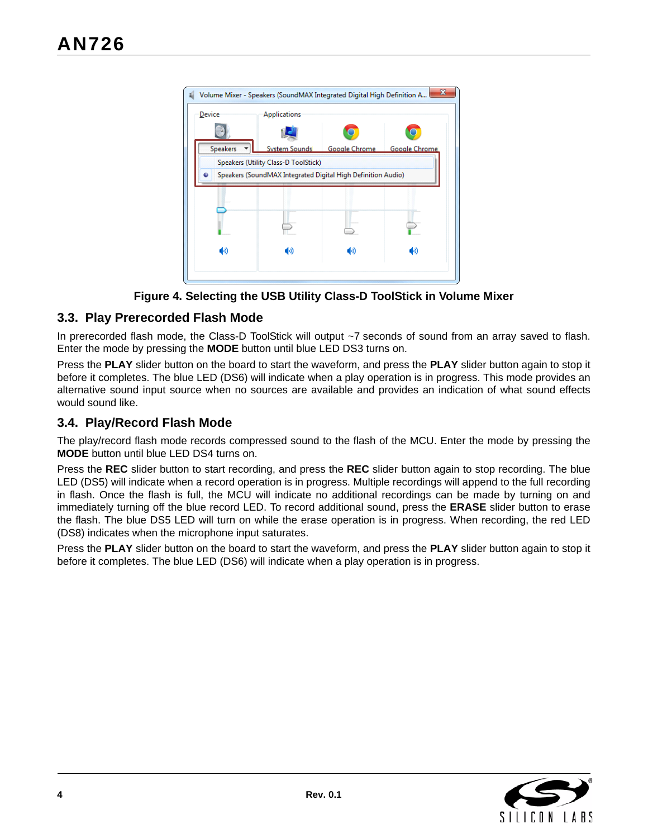| x<br>Volume Mixer - Speakers (SoundMAX Integrated Digital High Definition A |                                                              |               |                      |  |  |  |
|-----------------------------------------------------------------------------|--------------------------------------------------------------|---------------|----------------------|--|--|--|
| Device                                                                      | Applications                                                 |               |                      |  |  |  |
|                                                                             |                                                              |               |                      |  |  |  |
| <b>Speakers</b>                                                             | <b>System Sounds</b>                                         | Google Chrome | <b>Google Chrome</b> |  |  |  |
|                                                                             | Speakers (Utility Class-D ToolStick)                         |               |                      |  |  |  |
|                                                                             | Speakers (SoundMAX Integrated Digital High Definition Audio) |               |                      |  |  |  |
|                                                                             |                                                              |               |                      |  |  |  |
|                                                                             |                                                              |               |                      |  |  |  |
|                                                                             |                                                              |               |                      |  |  |  |
|                                                                             |                                                              |               |                      |  |  |  |
| ⑩                                                                           | ο                                                            | 40)           | φ                    |  |  |  |
|                                                                             |                                                              |               |                      |  |  |  |

**Figure 4. Selecting the USB Utility Class-D ToolStick in Volume Mixer**

## <span id="page-3-0"></span>**3.3. Play Prerecorded Flash Mode**

In prerecorded flash mode, the Class-D ToolStick will output ~7 seconds of sound from an array saved to flash. Enter the mode by pressing the **MODE** button until blue LED DS3 turns on.

Press the **PLAY** slider button on the board to start the waveform, and press the **PLAY** slider button again to stop it before it completes. The blue LED (DS6) will indicate when a play operation is in progress. This mode provides an alternative sound input source when no sources are available and provides an indication of what sound effects would sound like.

## **3.4. Play/Record Flash Mode**

The play/record flash mode records compressed sound to the flash of the MCU. Enter the mode by pressing the **MODE** button until blue LED DS4 turns on.

Press the **REC** slider button to start recording, and press the **REC** slider button again to stop recording. The blue LED (DS5) will indicate when a record operation is in progress. Multiple recordings will append to the full recording in flash. Once the flash is full, the MCU will indicate no additional recordings can be made by turning on and immediately turning off the blue record LED. To record additional sound, press the **ERASE** slider button to erase the flash. The blue DS5 LED will turn on while the erase operation is in progress. When recording, the red LED (DS8) indicates when the microphone input saturates.

Press the **PLAY** slider button on the board to start the waveform, and press the **PLAY** slider button again to stop it before it completes. The blue LED (DS6) will indicate when a play operation is in progress.

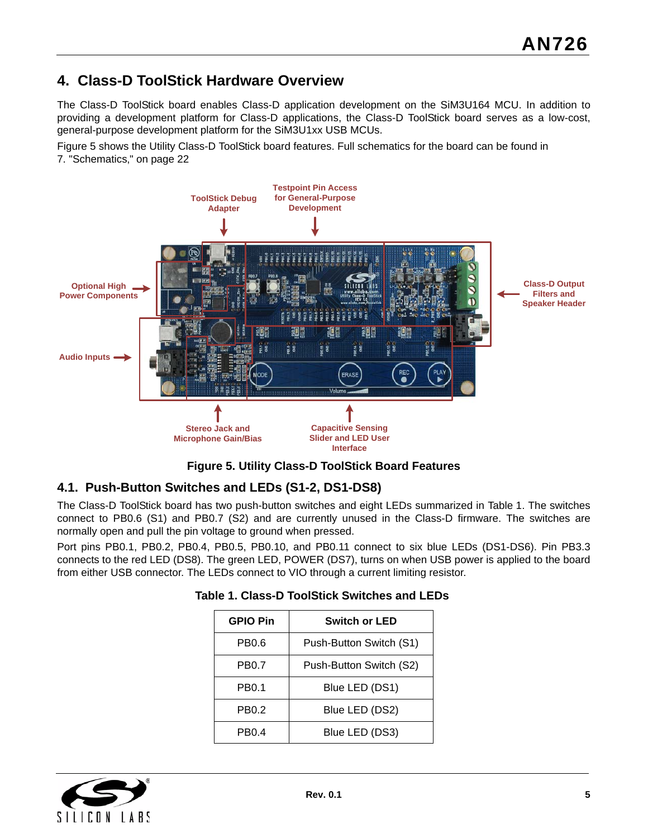## **4. Class-D ToolStick Hardware Overview**

The Class-D ToolStick board enables Class-D application development on the SiM3U164 MCU. In addition to providing a development platform for Class-D applications, the Class-D ToolStick board serves as a low-cost, general-purpose development platform for the SiM3U1xx USB MCUs.

[Figure 5](#page-4-0) shows the Utility Class-D ToolStick board features. Full schematics for the board can be found in 7. "Schematics," on page 22



**Figure 5. Utility Class-D ToolStick Board Features**

## <span id="page-4-0"></span>**4.1. Push-Button Switches and LEDs (S1-2, DS1-DS8)**

The Class-D ToolStick board has two push-button switches and eight LEDs summarized in [Table 1](#page-4-1). The switches connect to PB0.6 (S1) and PB0.7 (S2) and are currently unused in the Class-D firmware. The switches are normally open and pull the pin voltage to ground when pressed.

<span id="page-4-1"></span>Port pins PB0.1, PB0.2, PB0.4, PB0.5, PB0.10, and PB0.11 connect to six blue LEDs (DS1-DS6). Pin PB3.3 connects to the red LED (DS8). The green LED, POWER (DS7), turns on when USB power is applied to the board from either USB connector. The LEDs connect to VIO through a current limiting resistor.

| <b>GPIO Pin</b> | <b>Switch or LED</b>    |
|-----------------|-------------------------|
| PB0.6           | Push-Button Switch (S1) |
| PB0.7           | Push-Button Switch (S2) |
| PB0.1           | Blue LED (DS1)          |
| PB0.2           | Blue LED (DS2)          |
| PB0.4           | Blue LED (DS3)          |

#### **Table 1. Class-D ToolStick Switches and LEDs**

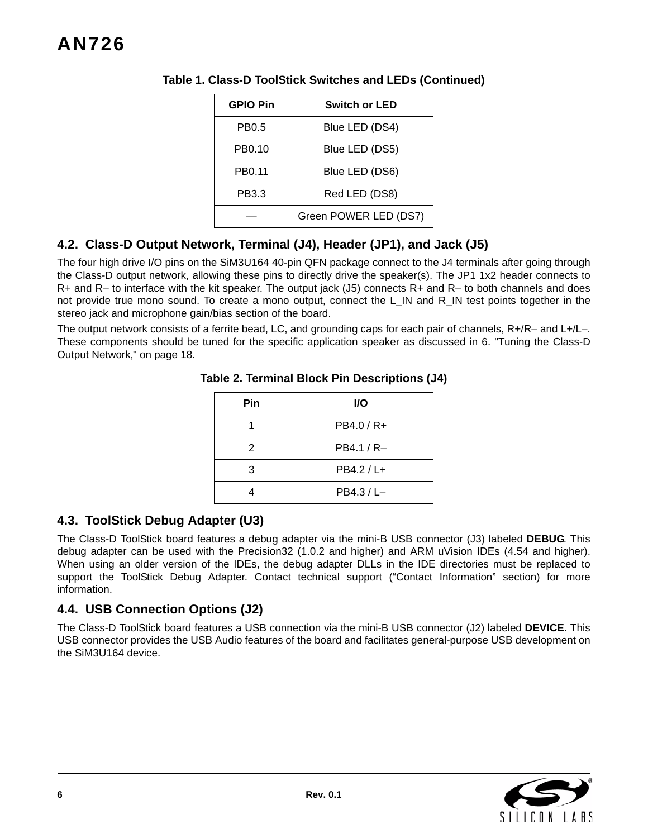| <b>GPIO Pin</b> | <b>Switch or LED</b>  |
|-----------------|-----------------------|
| PB0.5           | Blue LED (DS4)        |
| PB0.10          | Blue LED (DS5)        |
| PB0.11          | Blue LED (DS6)        |
| PB3.3           | Red LED (DS8)         |
|                 | Green POWER LED (DS7) |

#### **Table 1. Class-D ToolStick Switches and LEDs (Continued)**

## **4.2. Class-D Output Network, Terminal (J4), Header (JP1), and Jack (J5)**

The four high drive I/O pins on the SiM3U164 40-pin QFN package connect to the J4 terminals after going through the Class-D output network, allowing these pins to directly drive the speaker(s). The JP1 1x2 header connects to R+ and R– to interface with the kit speaker. The output jack (J5) connects R+ and R– to both channels and does not provide true mono sound. To create a mono output, connect the L\_IN and R\_IN test points together in the stereo jack and microphone gain/bias section of the board.

The output network consists of a ferrite bead, LC, and grounding caps for each pair of channels, R+/R– and L+/L–. These components should be tuned for the specific application speaker as discussed in [6. "Tuning the Class-D](#page-17-0) Output Network," on page 18.

| Pin | I/O           |
|-----|---------------|
|     | PB4.0 / R+    |
| 2   | PB4.1 / R-    |
| 3   | PB4.2 / L+    |
|     | $PB4.3 / L -$ |

#### **Table 2. Terminal Block Pin Descriptions (J4)**

## **4.3. ToolStick Debug Adapter (U3)**

The Class-D ToolStick board features a debug adapter via the mini-B USB connector (J3) labeled **DEBUG**. This debug adapter can be used with the Precision32 (1.0.2 and higher) and ARM uVision IDEs (4.54 and higher). When using an older version of the IDEs, the debug adapter DLLs in the IDE directories must be replaced to support the ToolStick Debug Adapter. Contact technical support [\("Contact Information"](#page-27-0) section) for more information.

## **4.4. USB Connection Options (J2)**

The Class-D ToolStick board features a USB connection via the mini-B USB connector (J2) labeled **DEVICE**. This USB connector provides the USB Audio features of the board and facilitates general-purpose USB development on the SiM3U164 device.

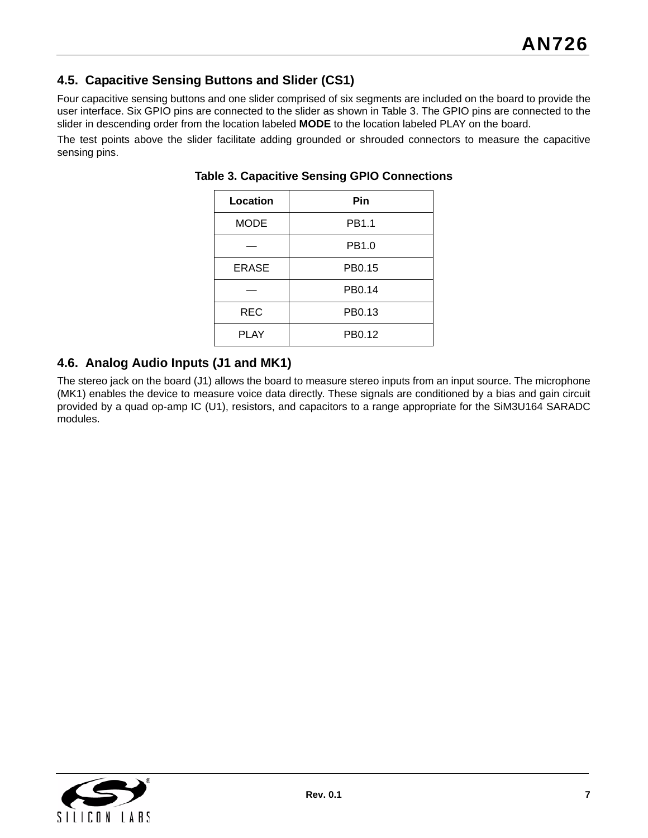## **4.5. Capacitive Sensing Buttons and Slider (CS1)**

Four capacitive sensing buttons and one slider comprised of six segments are included on the board to provide the user interface. Six GPIO pins are connected to the slider as shown in [Table 3.](#page-6-0) The GPIO pins are connected to the slider in descending order from the location labeled **MODE** to the location labeled PLAY on the board.

<span id="page-6-0"></span>The test points above the slider facilitate adding grounded or shrouded connectors to measure the capacitive sensing pins.

| Location     | Pin    |
|--------------|--------|
| <b>MODE</b>  | PB1.1  |
|              | PB1.0  |
| <b>ERASE</b> | PB0.15 |
|              | PB0.14 |
| <b>REC</b>   | PB0.13 |
| <b>PLAY</b>  | PB0.12 |

#### **Table 3. Capacitive Sensing GPIO Connections**

## **4.6. Analog Audio Inputs (J1 and MK1)**

The stereo jack on the board (J1) allows the board to measure stereo inputs from an input source. The microphone (MK1) enables the device to measure voice data directly. These signals are conditioned by a bias and gain circuit provided by a quad op-amp IC (U1), resistors, and capacitors to a range appropriate for the SiM3U164 SARADC modules.

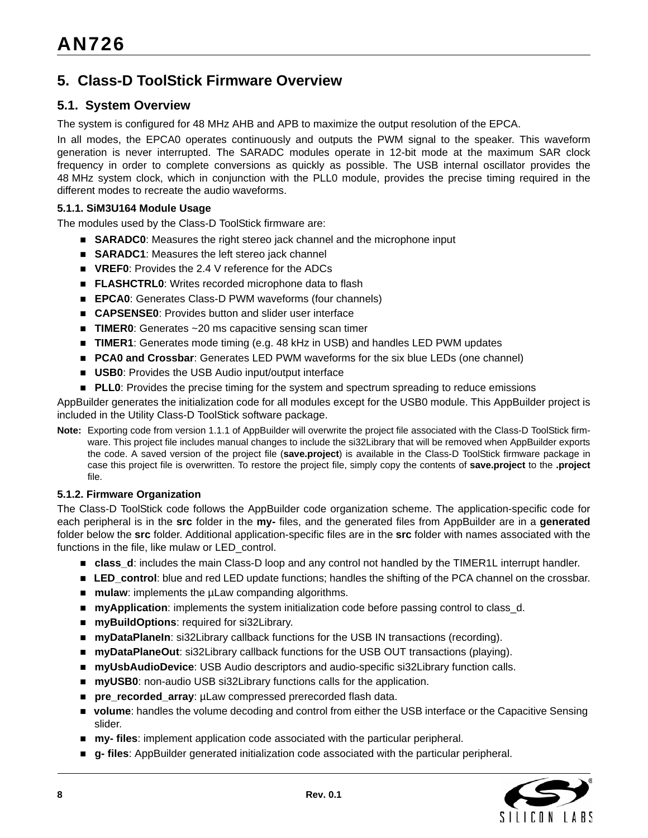## **5. Class-D ToolStick Firmware Overview**

## **5.1. System Overview**

The system is configured for 48 MHz AHB and APB to maximize the output resolution of the EPCA.

In all modes, the EPCA0 operates continuously and outputs the PWM signal to the speaker. This waveform generation is never interrupted. The SARADC modules operate in 12-bit mode at the maximum SAR clock frequency in order to complete conversions as quickly as possible. The USB internal oscillator provides the 48 MHz system clock, which in conjunction with the PLL0 module, provides the precise timing required in the different modes to recreate the audio waveforms.

#### **5.1.1. SiM3U164 Module Usage**

The modules used by the Class-D ToolStick firmware are:

- **SARADC0**: Measures the right stereo jack channel and the microphone input
- **SARADC1**: Measures the left stereo jack channel
- **VREF0:** Provides the 2.4 V reference for the ADCs
- **FLASHCTRL0:** Writes recorded microphone data to flash
- **EPCA0**: Generates Class-D PWM waveforms (four channels)
- **CAPSENSE0**: Provides button and slider user interface
- **TIMER0:** Generates ~20 ms capacitive sensing scan timer
- **TIMER1**: Generates mode timing (e.g. 48 kHz in USB) and handles LED PWM updates
- **PCA0 and Crossbar**: Generates LED PWM waveforms for the six blue LEDs (one channel)
- **USB0:** Provides the USB Audio input/output interface
- **PLL0**: Provides the precise timing for the system and spectrum spreading to reduce emissions

AppBuilder generates the initialization code for all modules except for the USB0 module. This AppBuilder project is included in the Utility Class-D ToolStick software package.

**Note:** Exporting code from version 1.1.1 of AppBuilder will overwrite the project file associated with the Class-D ToolStick firmware. This project file includes manual changes to include the si32Library that will be removed when AppBuilder exports the code. A saved version of the project file (**save.project**) is available in the Class-D ToolStick firmware package in case this project file is overwritten. To restore the project file, simply copy the contents of **save.project** to the **.project** file.

#### **5.1.2. Firmware Organization**

The Class-D ToolStick code follows the AppBuilder code organization scheme. The application-specific code for each peripheral is in the **src** folder in the **my-** files, and the generated files from AppBuilder are in a **generated** folder below the **src** folder. Additional application-specific files are in the **src** folder with names associated with the functions in the file, like mulaw or LED\_control.

- **class\_d:** includes the main Class-D loop and any control not handled by the TIMER1L interrupt handler.
- **LED** control: blue and red LED update functions; handles the shifting of the PCA channel on the crossbar.
- **mulaw**: implements the µLaw companding algorithms.
- **myApplication**: implements the system initialization code before passing control to class\_d.
- **myBuildOptions**: required for si32Library.
- **myDataPlaneIn**: si32Library callback functions for the USB IN transactions (recording).
- **myDataPlaneOut**: si32Library callback functions for the USB OUT transactions (playing).
- **myUsbAudioDevice**: USB Audio descriptors and audio-specific si32Library function calls.
- myUSB0: non-audio USB si32Library functions calls for the application.
- **pre\_recorded\_array**: µLaw compressed prerecorded flash data.
- **volume**: handles the volume decoding and control from either the USB interface or the Capacitive Sensing slider.
- **my- files**: implement application code associated with the particular peripheral.
- **g- files**: AppBuilder generated initialization code associated with the particular peripheral.

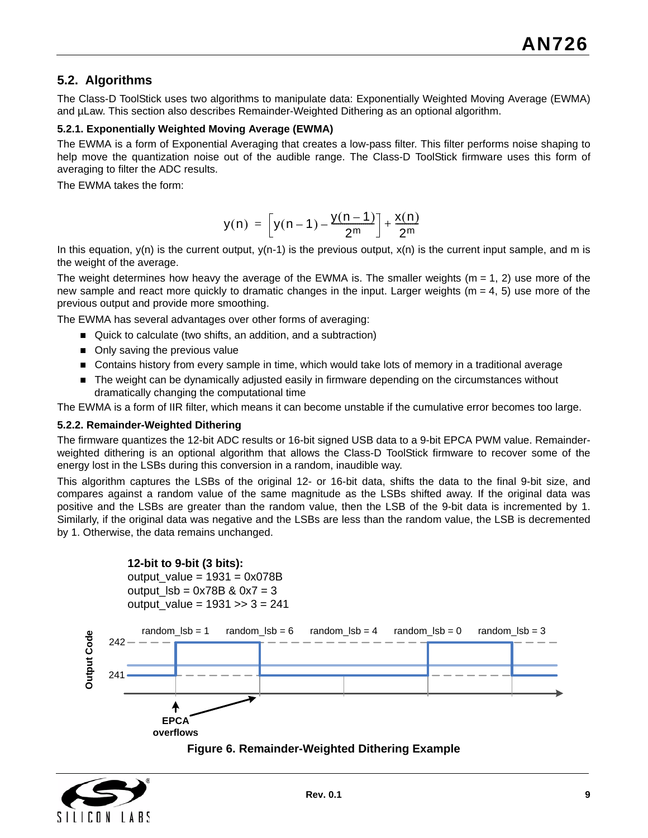## **5.2. Algorithms**

The Class-D ToolStick uses two algorithms to manipulate data: Exponentially Weighted Moving Average (EWMA) and  $\mu$ Law. This section also describes Remainder-Weighted Dithering as an optional algorithm.

#### **5.2.1. Exponentially Weighted Moving Average (EWMA)**

The EWMA is a form of Exponential Averaging that creates a low-pass filter. This filter performs noise shaping to help move the quantization noise out of the audible range. The Class-D ToolStick firmware uses this form of averaging to filter the ADC results.

The EWMA takes the form:

$$
y(n) = \left[ y(n-1) - \frac{y(n-1)}{2^m} \right] + \frac{x(n)}{2^m}
$$

In this equation,  $y(n)$  is the current output,  $y(n-1)$  is the previous output,  $x(n)$  is the current input sample, and m is the weight of the average.

The weight determines how heavy the average of the EWMA is. The smaller weights ( $m = 1$ , 2) use more of the new sample and react more quickly to dramatic changes in the input. Larger weights ( $m = 4$ , 5) use more of the previous output and provide more smoothing.

The EWMA has several advantages over other forms of averaging:

- Quick to calculate (two shifts, an addition, and a subtraction)
- Only saving the previous value
- Contains history from every sample in time, which would take lots of memory in a traditional average
- **The weight can be dynamically adjusted easily in firmware depending on the circumstances without** dramatically changing the computational time

The EWMA is a form of IIR filter, which means it can become unstable if the cumulative error becomes too large.

#### **5.2.2. Remainder-Weighted Dithering**

The firmware quantizes the 12-bit ADC results or 16-bit signed USB data to a 9-bit EPCA PWM value. Remainderweighted dithering is an optional algorithm that allows the Class-D ToolStick firmware to recover some of the energy lost in the LSBs during this conversion in a random, inaudible way.

This algorithm captures the LSBs of the original 12- or 16-bit data, shifts the data to the final 9-bit size, and compares against a random value of the same magnitude as the LSBs shifted away. If the original data was positive and the LSBs are greater than the random value, then the LSB of the 9-bit data is incremented by 1. Similarly, if the original data was negative and the LSBs are less than the random value, the LSB is decremented by 1. Otherwise, the data remains unchanged.



<span id="page-8-0"></span>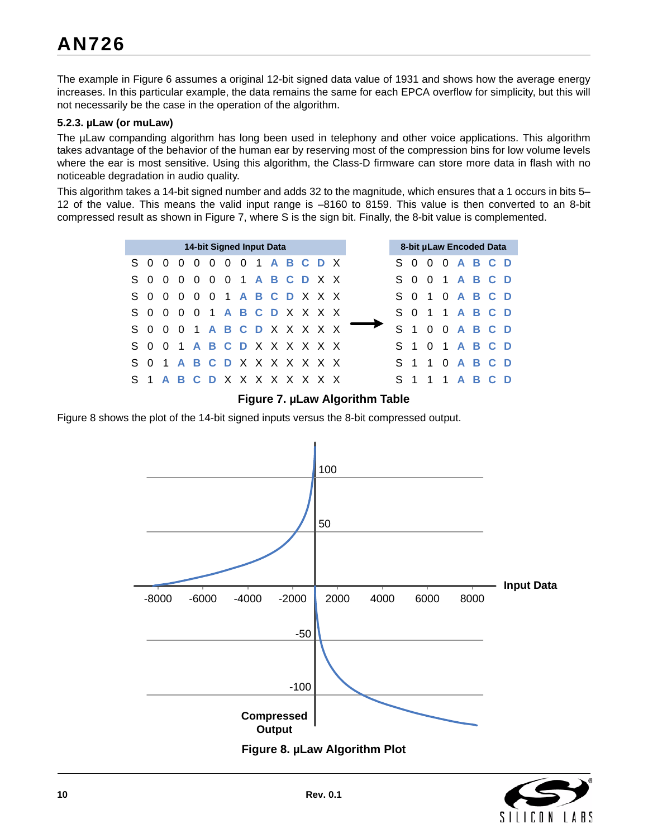The example in [Figure 6](#page-8-0) assumes a original 12-bit signed data value of 1931 and shows how the average energy increases. In this particular example, the data remains the same for each EPCA overflow for simplicity, but this will not necessarily be the case in the operation of the algorithm.

#### **5.2.3. µLaw (or muLaw)**

The µLaw companding algorithm has long been used in telephony and other voice applications. This algorithm takes advantage of the behavior of the human ear by reserving most of the compression bins for low volume levels where the ear is most sensitive. Using this algorithm, the Class-D firmware can store more data in flash with no noticeable degradation in audio quality.

This algorithm takes a 14-bit signed number and adds 32 to the magnitude, which ensures that a 1 occurs in bits 5– 12 of the value. This means the valid input range is –8160 to 8159. This value is then converted to an 8-bit compressed result as shown in [Figure 7,](#page-9-0) where S is the sign bit. Finally, the 8-bit value is complemented.

|    |                             |                                |          | 14-bit Signed Input Data       |  |  |  |  |
|----|-----------------------------|--------------------------------|----------|--------------------------------|--|--|--|--|
|    | S 0                         | $\overline{0}$                 | $\Omega$ | 0 0 0 0 1 <b>A B C D</b> X     |  |  |  |  |
|    | S 0                         |                                |          | 000001ABCDXX                   |  |  |  |  |
|    | S 0                         |                                |          | 0 0 0 0 1 <b>A B C D</b> X X X |  |  |  |  |
|    | S 0                         | 0 0 0 1 <b>A B C D</b> X X X X |          |                                |  |  |  |  |
|    | S 0                         |                                |          | 0 0 1 A B C D X X X X X        |  |  |  |  |
|    | S 0                         |                                |          | 0 1 A B C D X X X X X X        |  |  |  |  |
| S. | - 0                         | 1 A B C D X X X X X X X        |          |                                |  |  |  |  |
|    | S 1 A B C D X X X X X X X X |                                |          |                                |  |  |  |  |

#### **Figure 7. µLaw Algorithm Table**

<span id="page-9-0"></span>[Figure 8](#page-9-1) shows the plot of the 14-bit signed inputs versus the 8-bit compressed output.

<span id="page-9-1"></span>

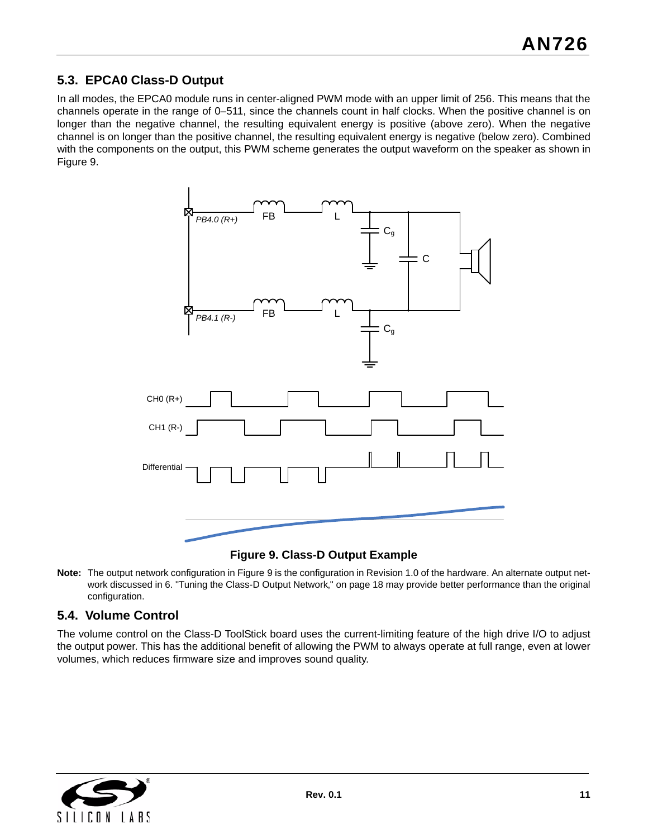## **5.3. EPCA0 Class-D Output**

In all modes, the EPCA0 module runs in center-aligned PWM mode with an upper limit of 256. This means that the channels operate in the range of 0–511, since the channels count in half clocks. When the positive channel is on longer than the negative channel, the resulting equivalent energy is positive (above zero). When the negative channel is on longer than the positive channel, the resulting equivalent energy is negative (below zero). Combined with the components on the output, this PWM scheme generates the output waveform on the speaker as shown in [Figure 9.](#page-10-0)



**Figure 9. Class-D Output Example**

<span id="page-10-0"></span>**Note:** The output network configuration in [Figure](#page-10-0) 9 is the configuration in Revision 1.0 of the hardware. An alternate output network discussed in 6. "Tuning the Class-D Output Network," on page 18 may provide better performance than the original configuration.

## **5.4. Volume Control**

The volume control on the Class-D ToolStick board uses the current-limiting feature of the high drive I/O to adjust the output power. This has the additional benefit of allowing the PWM to always operate at full range, even at lower volumes, which reduces firmware size and improves sound quality.

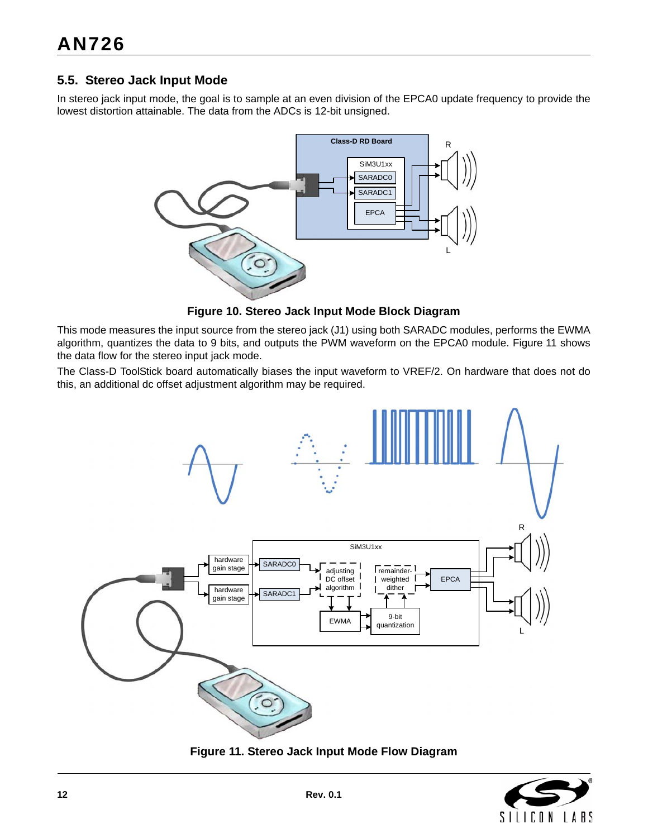## **5.5. Stereo Jack Input Mode**

In stereo jack input mode, the goal is to sample at an even division of the EPCA0 update frequency to provide the lowest distortion attainable. The data from the ADCs is 12-bit unsigned.



**Figure 10. Stereo Jack Input Mode Block Diagram**

This mode measures the input source from the stereo jack (J1) using both SARADC modules, performs the EWMA algorithm, quantizes the data to 9 bits, and outputs the PWM waveform on the EPCA0 module. [Figure 11](#page-11-0) shows the data flow for the stereo input jack mode.

The Class-D ToolStick board automatically biases the input waveform to VREF/2. On hardware that does not do this, an additional dc offset adjustment algorithm may be required.



<span id="page-11-0"></span>**Figure 11. Stereo Jack Input Mode Flow Diagram**

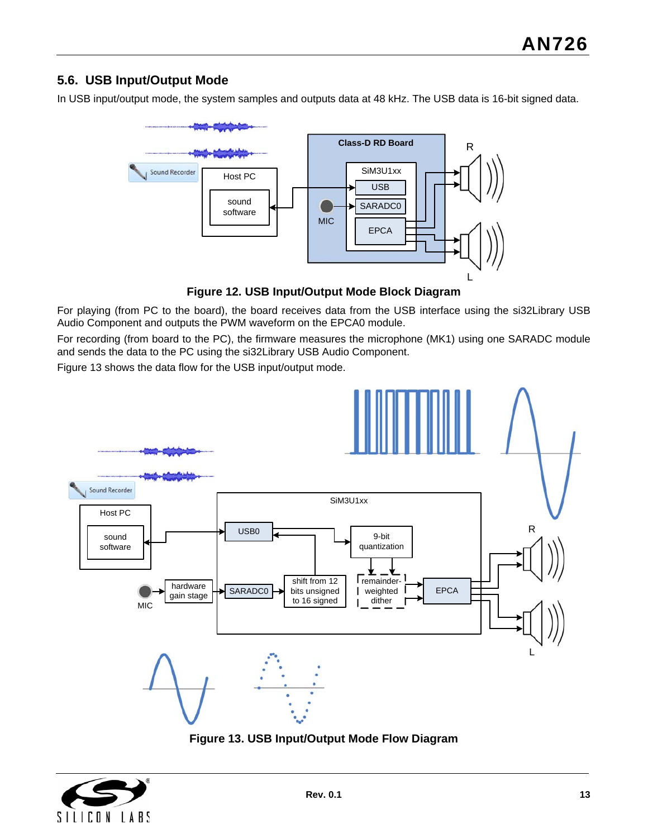## **5.6. USB Input/Output Mode**

In USB input/output mode, the system samples and outputs data at 48 kHz. The USB data is 16-bit signed data.



**Figure 12. USB Input/Output Mode Block Diagram**

For playing (from PC to the board), the board receives data from the USB interface using the si32Library USB Audio Component and outputs the PWM waveform on the EPCA0 module.

For recording (from board to the PC), the firmware measures the microphone (MK1) using one SARADC module and sends the data to the PC using the si32Library USB Audio Component.

[Figure 13](#page-12-0) shows the data flow for the USB input/output mode.



**Figure 13. USB Input/Output Mode Flow Diagram**

<span id="page-12-0"></span>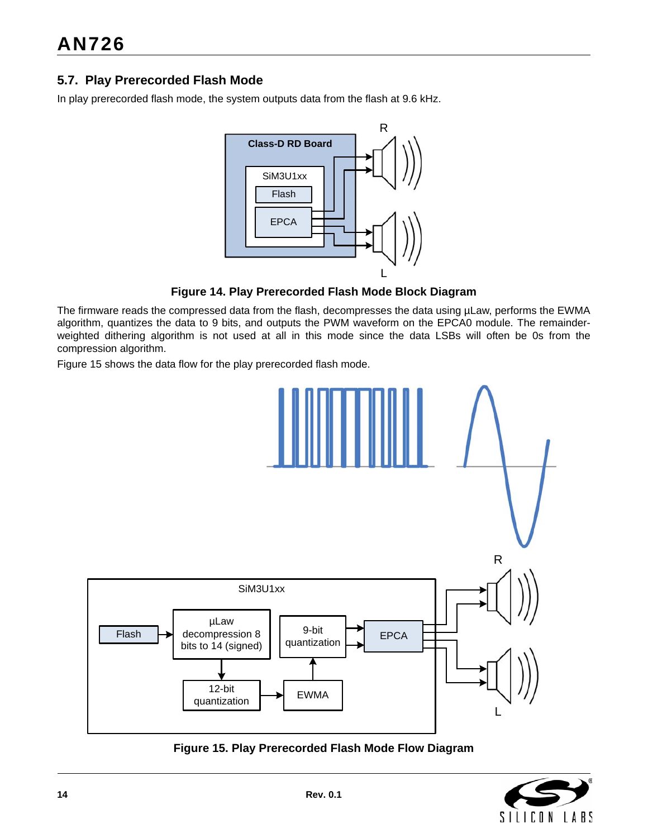## **5.7. Play Prerecorded Flash Mode**

In play prerecorded flash mode, the system outputs data from the flash at 9.6 kHz.



**Figure 14. Play Prerecorded Flash Mode Block Diagram**

The firmware reads the compressed data from the flash, decompresses the data using µLaw, performs the EWMA algorithm, quantizes the data to 9 bits, and outputs the PWM waveform on the EPCA0 module. The remainderweighted dithering algorithm is not used at all in this mode since the data LSBs will often be 0s from the compression algorithm.

[Figure 15](#page-13-0) shows the data flow for the play prerecorded flash mode.



<span id="page-13-0"></span>**Figure 15. Play Prerecorded Flash Mode Flow Diagram**

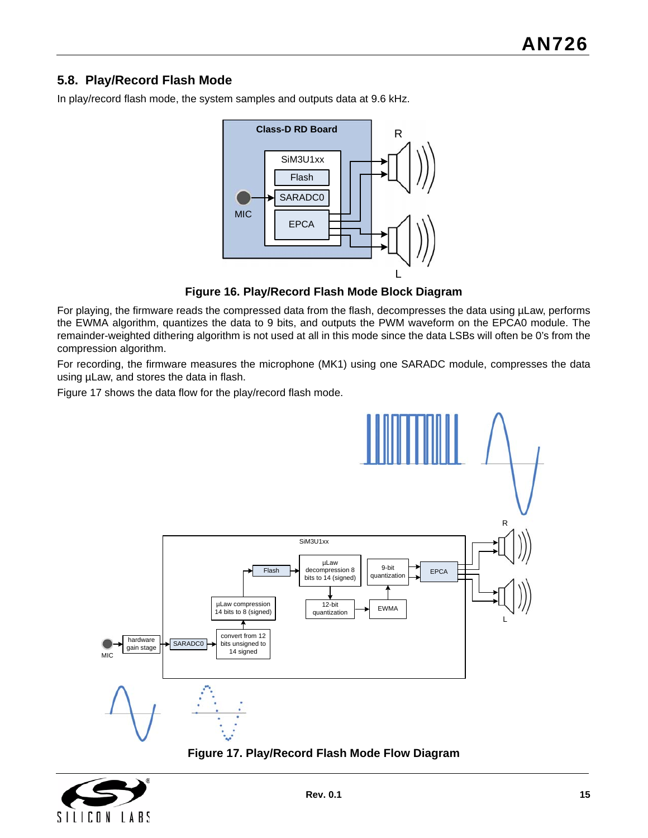## **5.8. Play/Record Flash Mode**

In play/record flash mode, the system samples and outputs data at 9.6 kHz.



**Figure 16. Play/Record Flash Mode Block Diagram**

For playing, the firmware reads the compressed data from the flash, decompresses the data using µLaw, performs the EWMA algorithm, quantizes the data to 9 bits, and outputs the PWM waveform on the EPCA0 module. The remainder-weighted dithering algorithm is not used at all in this mode since the data LSBs will often be 0's from the compression algorithm.

For recording, the firmware measures the microphone (MK1) using one SARADC module, compresses the data using µLaw, and stores the data in flash.

[Figure 17](#page-14-0) shows the data flow for the play/record flash mode.



**Figure 17. Play/Record Flash Mode Flow Diagram**

<span id="page-14-0"></span>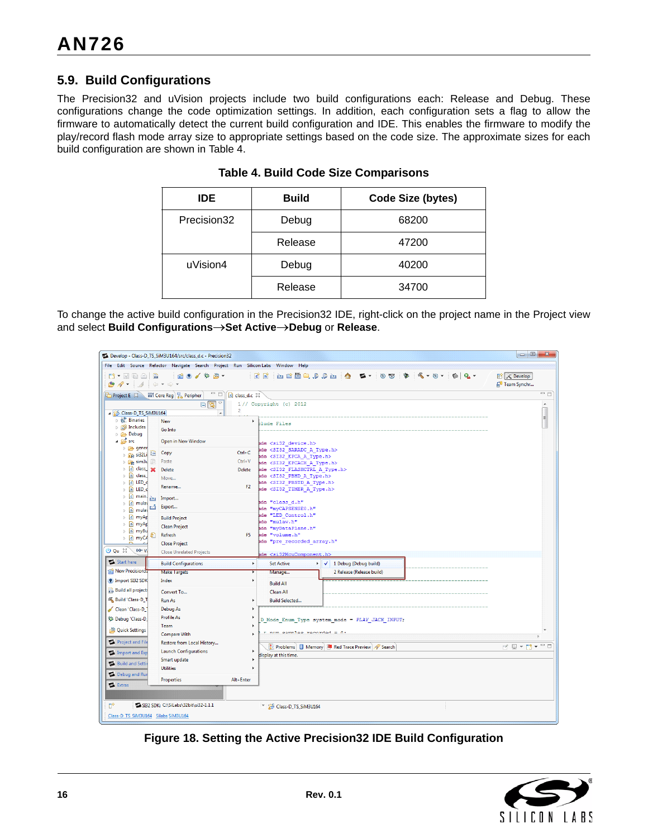## **5.9. Build Configurations**

<span id="page-15-0"></span>The Precision32 and uVision projects include two build configurations each: Release and Debug. These configurations change the code optimization settings. In addition, each configuration sets a flag to allow the firmware to automatically detect the current build configuration and IDE. This enables the firmware to modify the play/record flash mode array size to appropriate settings based on the code size. The approximate sizes for each build configuration are shown in [Table 4.](#page-15-0)

| <b>IDE</b>  | <b>Build</b> | <b>Code Size (bytes)</b> |
|-------------|--------------|--------------------------|
| Precision32 | Debug        | 68200                    |
|             | Release      | 47200                    |
| uVision4    | Debug        | 40200                    |
|             | Release      | 34700                    |

**Table 4. Build Code Size Comparisons**

To change the active build configuration in the Precision32 IDE, right-click on the project name in the Project view and select **Build ConfigurationsSet ActiveDebug** or **Release**.

|                                                                                                                                       | Develop - Class-D_TS_SiM3U164/src/class_d.c - Precision32 |                                                                                            | $\Box$ $\Box$<br>$\mathbf{x}$                     |  |  |  |  |
|---------------------------------------------------------------------------------------------------------------------------------------|-----------------------------------------------------------|--------------------------------------------------------------------------------------------|---------------------------------------------------|--|--|--|--|
| File Edit Source Refactor Navigate Search Project Run Silicon Labs Window Help                                                        |                                                           |                                                                                            |                                                   |  |  |  |  |
| 7 - 日语台 品<br>$\bigcirc$ $\mathcal{P}$ $\cdot$ $\bigcirc$ $\downarrow$ $\circ$ $\circ$ $\circ$ $\cdot$                                 | 面 9 / 梦 2 -                                               | <b>PERLARA &amp; &amp;. BA &amp; (4-9-164-</b><br>$\mathbf{c}$ $\mathbf{r}$                | <b>ET X</b> Develop<br>4 <sup>0</sup> Team Synchr |  |  |  |  |
| Project E 23                                                                                                                          | $-1$<br>III Core Reg) 품 Peripher<br>c class_d.c 23        |                                                                                            |                                                   |  |  |  |  |
|                                                                                                                                       | $\overline{\phantom{a}}$<br>日保                            | 1// Copyright(c) 2012                                                                      | $\blacktriangle$                                  |  |  |  |  |
| Glass-D_TS_SiM3U164                                                                                                                   | $\overline{2}$<br>$\blacktriangle$                        |                                                                                            | E                                                 |  |  |  |  |
| $\triangleright \frac{1}{25}$ Binaries                                                                                                | <b>New</b>                                                | ٠<br>tlude Files                                                                           |                                                   |  |  |  |  |
| <b>b</b> 刷 Includes<br>$\triangleright$ $\triangleright$ Debug                                                                        | Go Into                                                   |                                                                                            |                                                   |  |  |  |  |
| $4.85$ src                                                                                                                            | Open in New Window                                        | ade <si32 device.h=""></si32>                                                              |                                                   |  |  |  |  |
| $\triangleright$ $\triangleright$ gener                                                                                               |                                                           | nde <si32 a="" saradc="" type.h=""></si32>                                                 |                                                   |  |  |  |  |
| $\triangleright$ $\frac{1}{2}$ si32Li                                                                                                 | $Ctrl + C$<br>Copy                                        | ade <si32 a="" epca="" type.h=""></si32>                                                   |                                                   |  |  |  |  |
| $\triangleright$ <b>C</b> <sub>R</sub> <sup>2</sup> sim3u<br>$\triangleright$ $\begin{array}{ c c c c c }\n\hline\n\end{array}$ class | $Ctrl + V$<br>Paste                                       | nde <si32 a="" epcach="" type.h=""></si32>                                                 |                                                   |  |  |  |  |
| $\triangleright$ $\overline{\mathbf{h}}$ class                                                                                        | Delete<br>Delete                                          | nde <si32 a="" flashctrl="" type.h=""><br/>ade <si32 a="" pbhd="" type.h=""></si32></si32> |                                                   |  |  |  |  |
|                                                                                                                                       | Move                                                      | ade <si32 a="" pbstd="" type.h=""></si32>                                                  |                                                   |  |  |  |  |
| $\triangleright$ $\blacksquare$ LED_c                                                                                                 | Rename<br>F2.                                             | nde <si32 a="" timer="" type.h=""></si32>                                                  |                                                   |  |  |  |  |
| $\triangleright$ $\boxed{\mathbf{c}}$ main.<br>p×s                                                                                    | Import                                                    | ade "class d.h"                                                                            |                                                   |  |  |  |  |
| $\triangleright$ $\boxed{\mathbf{c}}$ mulay<br>M<br>h mulay<br>Þ                                                                      | Export                                                    | ade "myCAPSENSE0.h"                                                                        |                                                   |  |  |  |  |
| $\triangleright$ <b>c</b> myAp                                                                                                        | <b>Build Project</b>                                      | ade "LED Control.h"                                                                        |                                                   |  |  |  |  |
| <b>b In</b> myAp                                                                                                                      | <b>Clean Project</b>                                      | nde "mulaw.h"<br>ade "myDataPlane.h"                                                       |                                                   |  |  |  |  |
| $\triangleright$ In myBu                                                                                                              | Refresh<br>F5.                                            | ade "volume.h"                                                                             |                                                   |  |  |  |  |
| $ c $ myCA<br>Þ.                                                                                                                      | <b>Close Project</b>                                      | ade "pre recorded array.h"                                                                 |                                                   |  |  |  |  |
| $O$ Qu $\%$<br>$(x) = V$                                                                                                              | <b>Close Unrelated Projects</b>                           | ade <si32mcucomponent.h></si32mcucomponent.h>                                              |                                                   |  |  |  |  |
| Start here                                                                                                                            | <b>Build Configurations</b><br><b>F</b>                   | √ 1 Debug (Debug build)<br><b>Set Active</b>                                               |                                                   |  |  |  |  |
| <b>Rew Precision32</b>                                                                                                                | <b>Make Targets</b>                                       | 2 Release (Release build)<br>Manage                                                        |                                                   |  |  |  |  |
| P Import SB2 SDK                                                                                                                      | Index<br>٠                                                | <b>Build All</b>                                                                           |                                                   |  |  |  |  |
| 618 Build all projects                                                                                                                | Convert To                                                | Clean All                                                                                  |                                                   |  |  |  |  |
| <b>&amp; Build 'Class-D T</b>                                                                                                         | Run As                                                    | <b>Build Selected</b>                                                                      |                                                   |  |  |  |  |
| Clean 'Class-D                                                                                                                        | <b>Debug As</b>                                           |                                                                                            |                                                   |  |  |  |  |
|                                                                                                                                       | <b>Profile As</b>                                         |                                                                                            |                                                   |  |  |  |  |
| Six Debug 'Class-D                                                                                                                    | Team                                                      | D Mode Enum Type system mode = PLAY JACK INPUT;                                            |                                                   |  |  |  |  |
| Quick Settings                                                                                                                        | <b>Compare With</b>                                       | num complex recorded = 0.                                                                  |                                                   |  |  |  |  |
| Project and File                                                                                                                      | Restore from Local History                                |                                                                                            |                                                   |  |  |  |  |
| Import and Exp                                                                                                                        | <b>Launch Configurations</b><br><b>F</b>                  | Problems   1 Memory   Red Trace Preview   Search                                           | dern - B                                          |  |  |  |  |
|                                                                                                                                       | Smart update<br>٠                                         | display at this time.                                                                      |                                                   |  |  |  |  |
| <b>Build and Setti</b>                                                                                                                | <b>Utilities</b>                                          | $\mathbf{r}$                                                                               |                                                   |  |  |  |  |
| Debug and Rur                                                                                                                         |                                                           |                                                                                            |                                                   |  |  |  |  |
| Extras                                                                                                                                | <b>Properties</b><br>Alt+Enter                            |                                                                                            |                                                   |  |  |  |  |
|                                                                                                                                       |                                                           |                                                                                            |                                                   |  |  |  |  |
| п°                                                                                                                                    | VA SI32 SDK: C:\SiLabs\32bit\si32-1.1.1                   |                                                                                            |                                                   |  |  |  |  |
|                                                                                                                                       |                                                           | Class-D_TS_SiM3U164                                                                        |                                                   |  |  |  |  |
| Class-D TS SiM3U164 Silabs SiM3U164                                                                                                   |                                                           |                                                                                            |                                                   |  |  |  |  |

**Figure 18. Setting the Active Precision32 IDE Build Configuration**

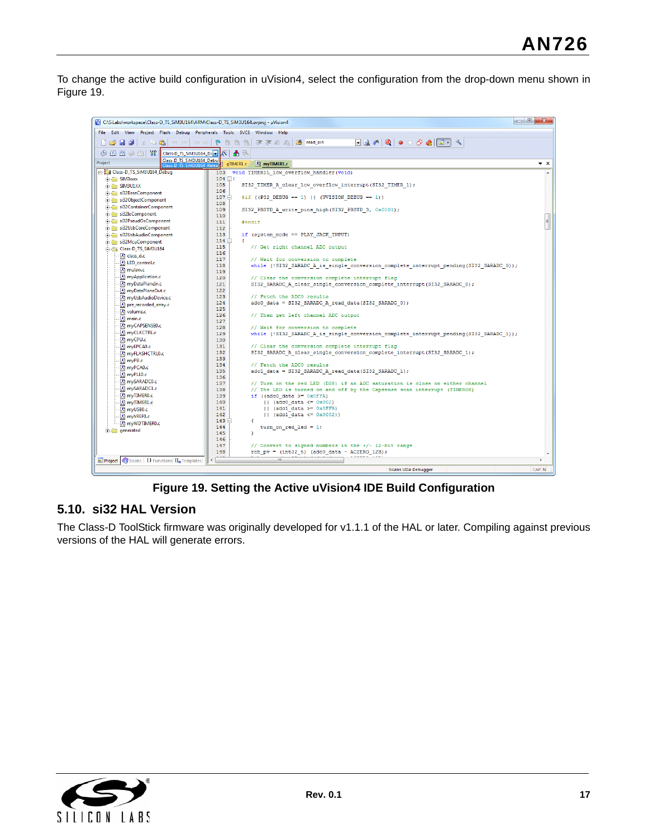To change the active build configuration in uVision4, select the configuration from the drop-down menu shown in [Figure 19](#page-16-0).



**Figure 19. Setting the Active uVision4 IDE Build Configuration**

## <span id="page-16-0"></span>**5.10. si32 HAL Version**

The Class-D ToolStick firmware was originally developed for v1.1.1 of the HAL or later. Compiling against previous versions of the HAL will generate errors.

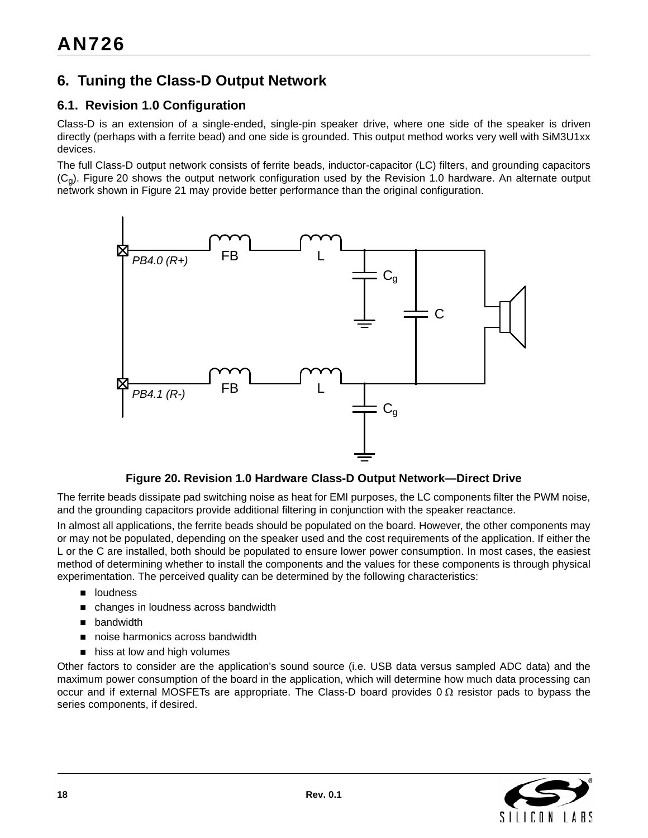## <span id="page-17-0"></span>**6. Tuning the Class-D Output Network**

## **6.1. Revision 1.0 Configuration**

Class-D is an extension of a single-ended, single-pin speaker drive, where one side of the speaker is driven directly (perhaps with a ferrite bead) and one side is grounded. This output method works very well with SiM3U1xx devices.

The full Class-D output network consists of ferrite beads, inductor-capacitor (LC) filters, and grounding capacitors  $(C<sub>0</sub>)$ . [Figure 20](#page-17-1) shows the output network configuration used by the Revision 1.0 hardware. An alternate output network shown in [Figure 21](#page-18-0) may provide better performance than the original configuration.



#### **Figure 20. Revision 1.0 Hardware Class-D Output Network—Direct Drive**

<span id="page-17-1"></span>The ferrite beads dissipate pad switching noise as heat for EMI purposes, the LC components filter the PWM noise, and the grounding capacitors provide additional filtering in conjunction with the speaker reactance.

In almost all applications, the ferrite beads should be populated on the board. However, the other components may or may not be populated, depending on the speaker used and the cost requirements of the application. If either the L or the C are installed, both should be populated to ensure lower power consumption. In most cases, the easiest method of determining whether to install the components and the values for these components is through physical experimentation. The perceived quality can be determined by the following characteristics:

- **n** loudness
- changes in loudness across bandwidth
- **D** bandwidth
- noise harmonics across bandwidth
- hiss at low and high volumes

Other factors to consider are the application's sound source (i.e. USB data versus sampled ADC data) and the maximum power consumption of the board in the application, which will determine how much data processing can occur and if external MOSFETs are appropriate. The Class-D board provides  $0 \Omega$  resistor pads to bypass the series components, if desired.

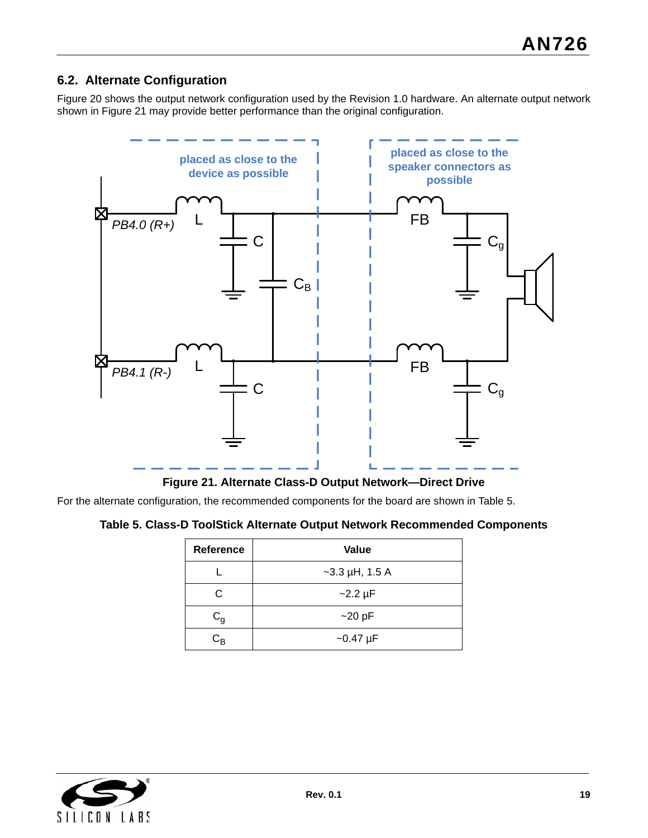## **6.2. Alternate Configuration**

[Figure 20](#page-17-1) shows the output network configuration used by the Revision 1.0 hardware. An alternate output network shown in [Figure 21](#page-18-0) may provide better performance than the original configuration.



**Figure 21. Alternate Class-D Output Network—Direct Drive**

<span id="page-18-1"></span><span id="page-18-0"></span>For the alternate configuration, the recommended components for the board are shown in [Table 5](#page-18-1).

#### **Table 5. Class-D ToolStick Alternate Output Network Recommended Components**

| Reference               | Value            |
|-------------------------|------------------|
|                         | $-3.3$ µH, 1.5 A |
| C.                      | $-2.2 \mu F$     |
| $\mathtt{C}_\mathtt{g}$ | $~20$ pF         |
| $\mathtt{C}_\mathtt{B}$ | $-0.47 \mu F$    |

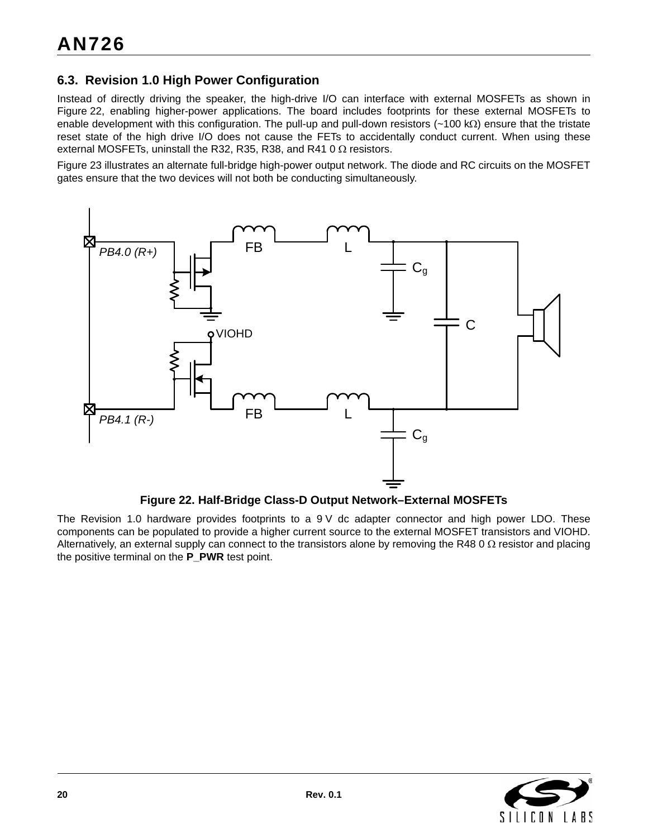## **6.3. Revision 1.0 High Power Configuration**

Instead of directly driving the speaker, the high-drive I/O can interface with external MOSFETs as shown in [Figure 22](#page-19-0), enabling higher-power applications. The board includes footprints for these external MOSFETs to enable development with this configuration. The pull-up and pull-down resistors ( $\sim$ 100 k $\Omega$ ) ensure that the tristate reset state of the high drive I/O does not cause the FETs to accidentally conduct current. When using these external MOSFETs, uninstall the R32, R35, R38, and R41 0  $\Omega$  resistors.

[Figure 23](#page-20-0) illustrates an alternate full-bridge high-power output network. The diode and RC circuits on the MOSFET gates ensure that the two devices will not both be conducting simultaneously.



#### **Figure 22. Half-Bridge Class-D Output Network–External MOSFETs**

<span id="page-19-0"></span>The Revision 1.0 hardware provides footprints to a 9 V dc adapter connector and high power LDO. These components can be populated to provide a higher current source to the external MOSFET transistors and VIOHD. Alternatively, an external supply can connect to the transistors alone by removing the R48 0  $\Omega$  resistor and placing the positive terminal on the **P\_PWR** test point.

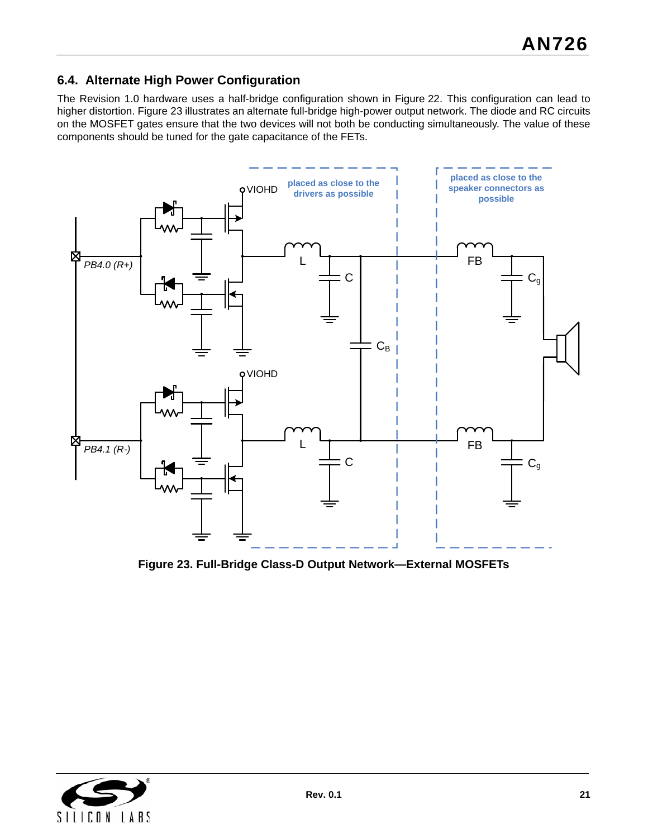## **6.4. Alternate High Power Configuration**

The Revision 1.0 hardware uses a half-bridge configuration shown in [Figure 22.](#page-19-0) This configuration can lead to higher distortion. [Figure 23](#page-20-0) illustrates an alternate full-bridge high-power output network. The diode and RC circuits on the MOSFET gates ensure that the two devices will not both be conducting simultaneously. The value of these components should be tuned for the gate capacitance of the FETs.



<span id="page-20-0"></span>**Figure 23. Full-Bridge Class-D Output Network—External MOSFETs**

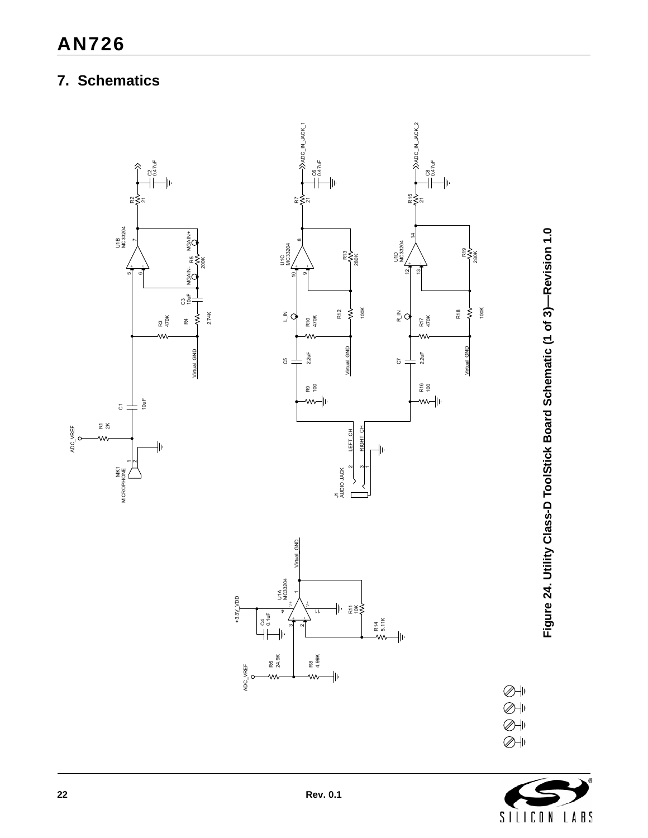# <span id="page-21-0"></span>**7. Schematics**



Figure 24. Utility Class-D ToolStick Board Schematic (1 of 3)-Revision 1.0 **Figure 24. Utility Class-D ToolStick Board Schematic (1 of 3)—Revision 1.0**



 $\bigotimes \Downarrow$  $\overline{\textcircled{\#}}$  $\bigotimes \Vdashv$  $\overline{\mathcal{O}}$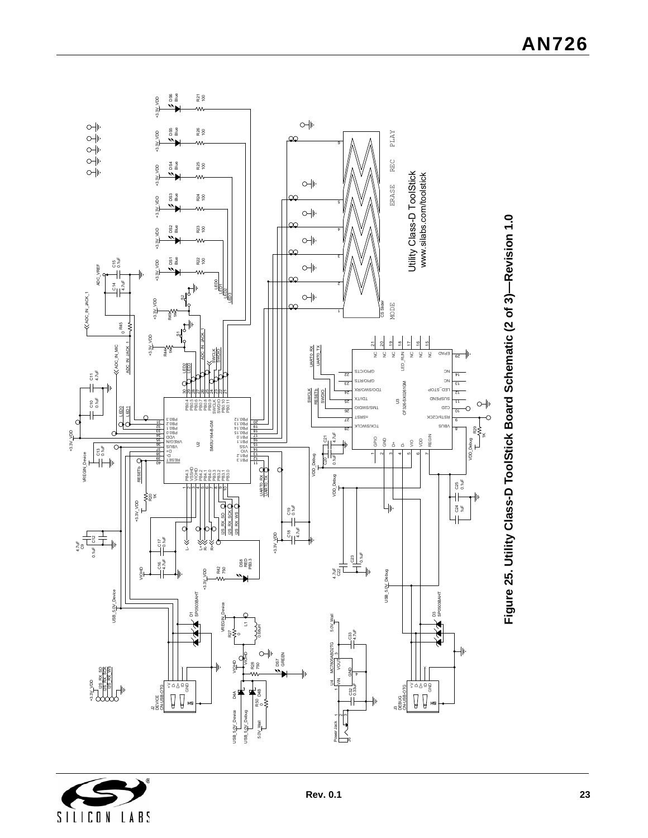

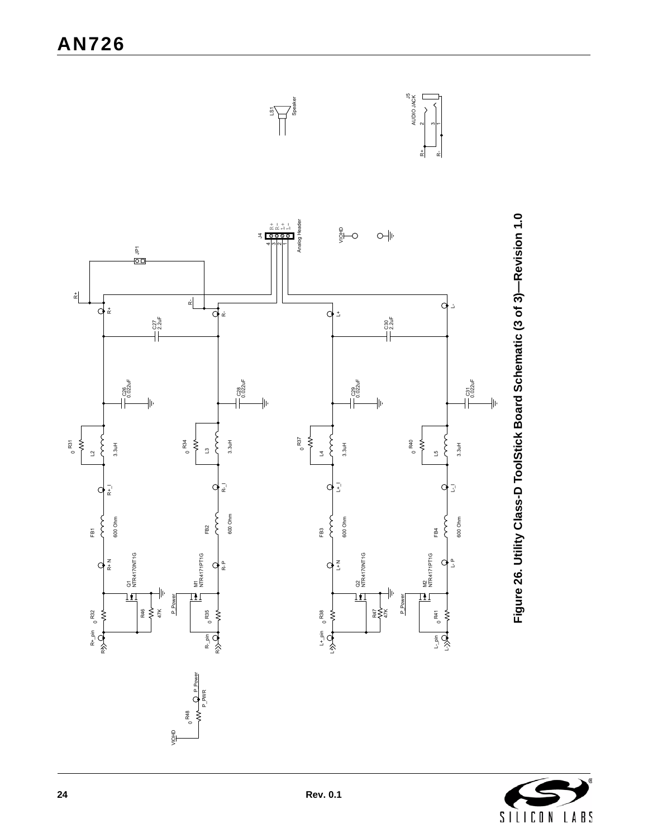

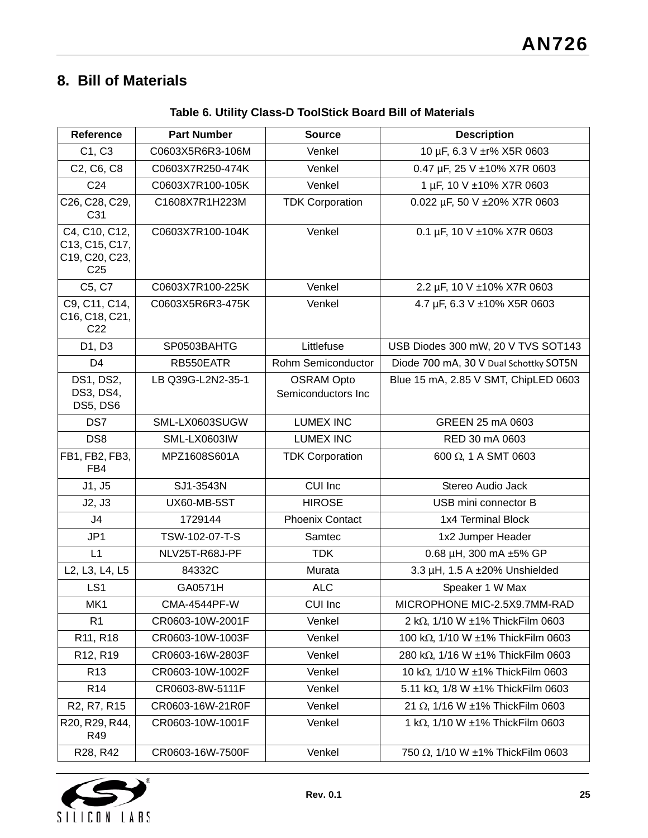# **8. Bill of Materials**

| Reference                                                            | <b>Part Number</b>  | <b>Source</b>                           | <b>Description</b>                     |  |
|----------------------------------------------------------------------|---------------------|-----------------------------------------|----------------------------------------|--|
| C1, C3                                                               | C0603X5R6R3-106M    | Venkel                                  | 10 µF, 6.3 V ±r% X5R 0603              |  |
| C2, C6, C8                                                           | C0603X7R250-474K    | Venkel                                  | 0.47 µF, 25 V ±10% X7R 0603            |  |
| C <sub>24</sub>                                                      | C0603X7R100-105K    | Venkel                                  | 1 µF, 10 V ±10% X7R 0603               |  |
| C26, C28, C29,<br>C31                                                | C1608X7R1H223M      | <b>TDK Corporation</b>                  | 0.022 µF, 50 V ±20% X7R 0603           |  |
| C4, C10, C12,<br>C13, C15, C17,<br>C19, C20, C23,<br>C <sub>25</sub> | C0603X7R100-104K    | Venkel                                  | 0.1 µF, 10 V ±10% X7R 0603             |  |
| C5, C7                                                               | C0603X7R100-225K    | Venkel                                  | 2.2 µF, 10 V ±10% X7R 0603             |  |
| C9, C11, C14,<br>C16, C18, C21,<br>C <sub>22</sub>                   | C0603X5R6R3-475K    | Venkel                                  | 4.7 µF, 6.3 V ±10% X5R 0603            |  |
| D1, D3                                                               | SP0503BAHTG         | Littlefuse                              | USB Diodes 300 mW, 20 V TVS SOT143     |  |
| D <sub>4</sub>                                                       | RB550EATR           | Rohm Semiconductor                      | Diode 700 mA, 30 V Dual Schottky SOT5N |  |
| DS1, DS2,<br>DS3, DS4,<br>DS5, DS6                                   | LB Q39G-L2N2-35-1   | <b>OSRAM Opto</b><br>Semiconductors Inc | Blue 15 mA, 2.85 V SMT, ChipLED 0603   |  |
| DS7                                                                  | SML-LX0603SUGW      | <b>LUMEX INC</b>                        | GREEN 25 mA 0603                       |  |
| DS <sub>8</sub>                                                      | SML-LX0603IW        | <b>LUMEX INC</b>                        | RED 30 mA 0603                         |  |
| FB1, FB2, FB3,<br>FB4                                                | MPZ1608S601A        | <b>TDK Corporation</b>                  | 600 $\Omega$ , 1 A SMT 0603            |  |
| J1, J5                                                               | SJ1-3543N           | CUI Inc                                 | Stereo Audio Jack                      |  |
| J2, J3                                                               | UX60-MB-5ST         | <b>HIROSE</b>                           | USB mini connector B                   |  |
| J <sub>4</sub>                                                       | 1729144             | <b>Phoenix Contact</b>                  | 1x4 Terminal Block                     |  |
| JP1                                                                  | TSW-102-07-T-S      | Samtec                                  | 1x2 Jumper Header                      |  |
| L1                                                                   | NLV25T-R68J-PF      | <b>TDK</b>                              | 0.68 µH, 300 mA ±5% GP                 |  |
| L2, L3, L4, L5                                                       | 84332C              | Murata                                  | 3.3 µH, 1.5 A ±20% Unshielded          |  |
| LS1                                                                  | GA0571H             | <b>ALC</b>                              | Speaker 1 W Max                        |  |
| MK1                                                                  | <b>CMA-4544PF-W</b> | <b>CUI Inc</b>                          | MICROPHONE MIC-2.5X9.7MM-RAD           |  |
| R <sub>1</sub>                                                       | CR0603-10W-2001F    | Venkel                                  | 2 kΩ, 1/10 W ±1% ThickFilm 0603        |  |
| R11, R18                                                             | CR0603-10W-1003F    | Venkel                                  | 100 kΩ, 1/10 W ±1% ThickFilm 0603      |  |
| R12, R19                                                             | CR0603-16W-2803F    | Venkel                                  | 280 kΩ, 1/16 W ±1% ThickFilm 0603      |  |
| R <sub>13</sub>                                                      | CR0603-10W-1002F    | Venkel                                  | 10 kΩ, 1/10 W ±1% ThickFilm 0603       |  |
| R <sub>14</sub>                                                      | CR0603-8W-5111F     | Venkel                                  | 5.11 kΩ, 1/8 W ±1% ThickFilm 0603      |  |
| R <sub>2</sub> , R <sub>7</sub> , R <sub>15</sub>                    | CR0603-16W-21R0F    | Venkel                                  | 21 Ω, 1/16 W ±1% ThickFilm 0603        |  |
| R20, R29, R44,<br>R49                                                | CR0603-10W-1001F    | Venkel                                  | 1 kΩ, 1/10 W ±1% ThickFilm 0603        |  |
| R28, R42                                                             | CR0603-16W-7500F    | Venkel                                  | 750 Ω, 1/10 W ±1% ThickFilm 0603       |  |

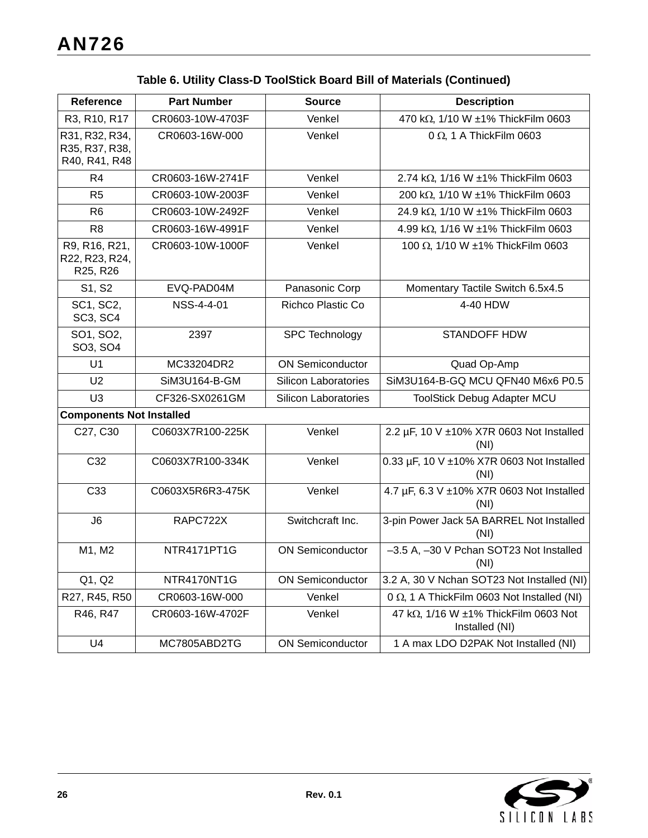| <b>Reference</b>                                  | <b>Part Number</b> | <b>Source</b>               | <b>Description</b>                                     |
|---------------------------------------------------|--------------------|-----------------------------|--------------------------------------------------------|
| R3, R10, R17                                      | CR0603-10W-4703F   | Venkel                      | 470 kΩ, 1/10 W ±1% ThickFilm 0603                      |
| R31, R32, R34,<br>R35, R37, R38,<br>R40, R41, R48 | CR0603-16W-000     | Venkel                      | $0 \Omega$ , 1 A ThickFilm 0603                        |
| R <sub>4</sub>                                    | CR0603-16W-2741F   | Venkel                      | 2.74 kΩ, 1/16 W ±1% ThickFilm 0603                     |
| R <sub>5</sub>                                    | CR0603-10W-2003F   | Venkel                      | 200 kΩ, 1/10 W ±1% ThickFilm 0603                      |
| R <sub>6</sub>                                    | CR0603-10W-2492F   | Venkel                      | 24.9 kΩ, 1/10 W ±1% ThickFilm 0603                     |
| R <sub>8</sub>                                    | CR0603-16W-4991F   | Venkel                      | 4.99 kΩ, 1/16 W ±1% ThickFilm 0603                     |
| R9, R16, R21,<br>R22, R23, R24,<br>R25, R26       | CR0603-10W-1000F   | Venkel                      | 100 Ω, 1/10 W ±1% ThickFilm 0603                       |
| S1, S2                                            | EVQ-PAD04M         | Panasonic Corp              | Momentary Tactile Switch 6.5x4.5                       |
| SC1, SC2,<br><b>SC3, SC4</b>                      | NSS-4-4-01         | Richco Plastic Co           | 4-40 HDW                                               |
| SO1, SO2,<br>SO3, SO4                             | 2397               | SPC Technology              | <b>STANDOFF HDW</b>                                    |
| U <sub>1</sub>                                    | MC33204DR2         | <b>ON Semiconductor</b>     | Quad Op-Amp                                            |
| U <sub>2</sub>                                    | SiM3U164-B-GM      | <b>Silicon Laboratories</b> | SiM3U164-B-GQ MCU QFN40 M6x6 P0.5                      |
| U <sub>3</sub>                                    | CF326-SX0261GM     | <b>Silicon Laboratories</b> | <b>ToolStick Debug Adapter MCU</b>                     |
| <b>Components Not Installed</b>                   |                    |                             |                                                        |
| C27, C30                                          | C0603X7R100-225K   | Venkel                      | 2.2 µF, 10 V ±10% X7R 0603 Not Installed<br>(NI)       |
| C32                                               | C0603X7R100-334K   | Venkel                      | 0.33 µF, 10 V ±10% X7R 0603 Not Installed<br>(NI)      |
| C <sub>33</sub>                                   | C0603X5R6R3-475K   | Venkel                      | 4.7 µF, 6.3 V ±10% X7R 0603 Not Installed<br>(NI)      |
| J6                                                | RAPC722X           | Switchcraft Inc.            | 3-pin Power Jack 5A BARREL Not Installed<br>(NI)       |
| M1, M2                                            | NTR4171PT1G        | <b>ON Semiconductor</b>     | -3.5 A, -30 V Pchan SOT23 Not Installed<br>(NI)        |
| Q1, Q2                                            | NTR4170NT1G        | <b>ON Semiconductor</b>     | 3.2 A, 30 V Nchan SOT23 Not Installed (NI)             |
| R27, R45, R50                                     | CR0603-16W-000     | Venkel                      | 0 $\Omega$ , 1 A ThickFilm 0603 Not Installed (NI)     |
| R46, R47                                          | CR0603-16W-4702F   | Venkel                      | 47 kΩ, 1/16 W ±1% ThickFilm 0603 Not<br>Installed (NI) |
| U4                                                | MC7805ABD2TG       | <b>ON Semiconductor</b>     | 1 A max LDO D2PAK Not Installed (NI)                   |

## **Table 6. Utility Class-D ToolStick Board Bill of Materials (Continued)**

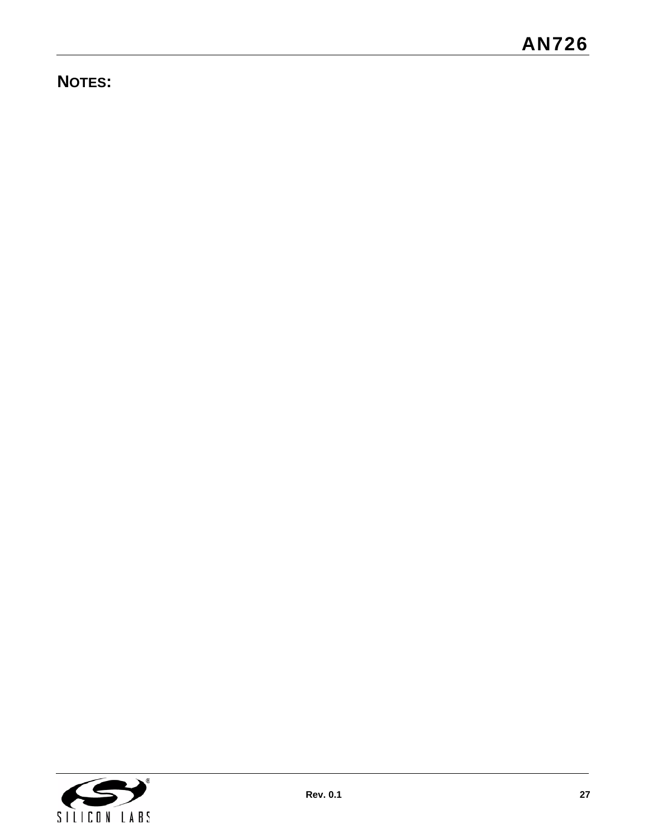# **NOTES:**